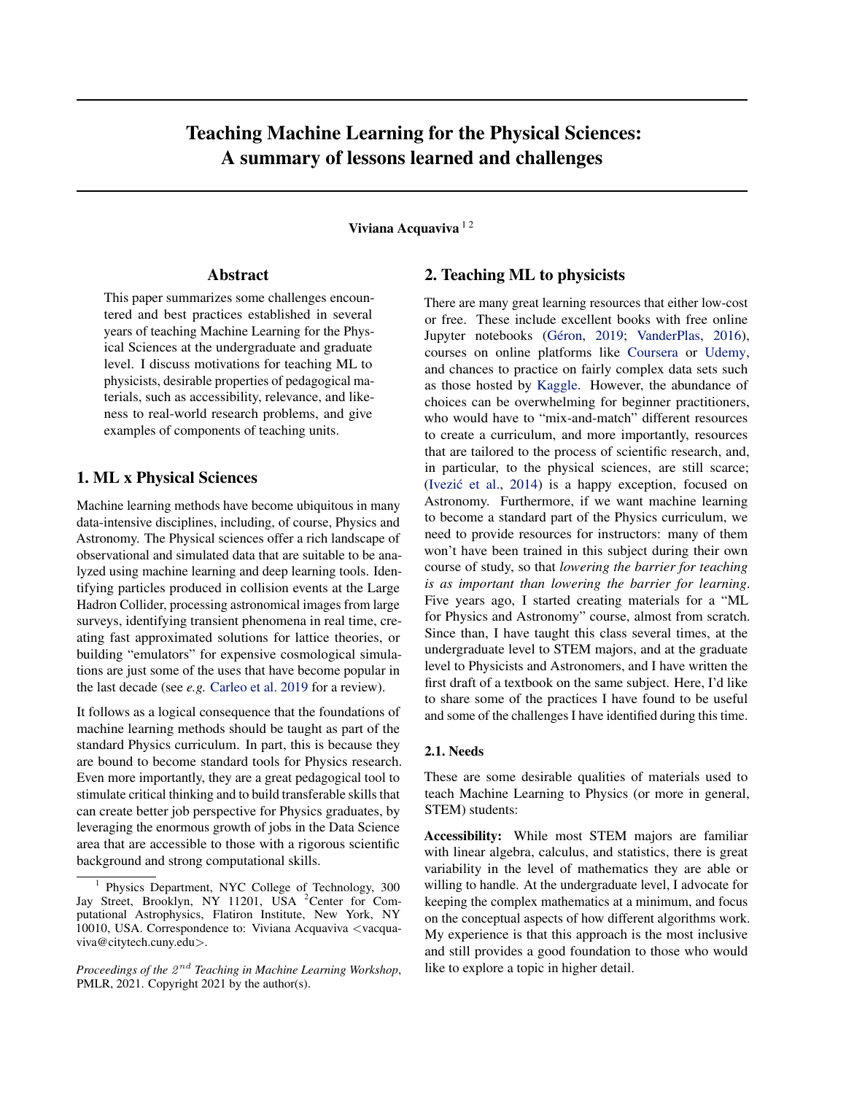# Teaching Machine Learning for the Physical Sciences: A summary of lessons learned and challenges

Viviana Acquaviva<sup>12</sup>

### Abstract

This paper summarizes some challenges encountered and best practices established in several years of teaching Machine Learning for the Physical Sciences at the undergraduate and graduate level. I discuss motivations for teaching ML to physicists, desirable properties of pedagogical materials, such as accessibility, relevance, and likeness to real-world research problems, and give examples of components of teaching units.

# 1. ML x Physical Sciences

Machine learning methods have become ubiquitous in many data-intensive disciplines, including, of course, Physics and Astronomy. The Physical sciences offer a rich landscape of observational and simulated data that are suitable to be analyzed using machine learning and deep learning tools. Identifying particles produced in collision events at the Large Hadron Collider, processing astronomical images from large surveys, identifying transient phenomena in real time, creating fast approximated solutions for lattice theories, or building "emulators" for expensive cosmological simulations are just some of the uses that have become popular in the last decade (see *e.g.* [Carleo et al.](#page-4-0) [2019](#page-4-0) for a review).

It follows as a logical consequence that the foundations of machine learning methods should be taught as part of the standard Physics curriculum. In part, this is because they are bound to become standard tools for Physics research. Even more importantly, they are a great pedagogical tool to stimulate critical thinking and to build transferable skills that can create better job perspective for Physics graduates, by leveraging the enormous growth of jobs in the Data Science area that are accessible to those with a rigorous scientific background and strong computational skills.

### 2. Teaching ML to physicists

There are many great learning resources that either low-cost or free. These include excellent books with free online Jupyter notebooks (Géron, [2019;](#page-4-0) [VanderPlas,](#page-4-0) [2016\)](#page-4-0), courses on online platforms like [Coursera](https://www.coursera.com/) or [Udemy,](https://www.udemy.com/) and chances to practice on fairly complex data sets such as those hosted by [Kaggle.](https://www.kaggle.com/) However, the abundance of choices can be overwhelming for beginner practitioners, who would have to "mix-and-match" different resources to create a curriculum, and more importantly, resources that are tailored to the process of scientific research, and, in particular, to the physical sciences, are still scarce; (Ivezić et al.,  $2014$ ) is a happy exception, focused on Astronomy. Furthermore, if we want machine learning to become a standard part of the Physics curriculum, we need to provide resources for instructors: many of them won't have been trained in this subject during their own course of study, so that *lowering the barrier for teaching is as important than lowering the barrier for learning*. Five years ago, I started creating materials for a "ML for Physics and Astronomy" course, almost from scratch. Since than, I have taught this class several times, at the undergraduate level to STEM majors, and at the graduate level to Physicists and Astronomers, and I have written the first draft of a textbook on the same subject. Here, I'd like to share some of the practices I have found to be useful and some of the challenges I have identified during this time.

### 2.1. Needs

These are some desirable qualities of materials used to teach Machine Learning to Physics (or more in general, STEM) students:

Accessibility: While most STEM majors are familiar with linear algebra, calculus, and statistics, there is great variability in the level of mathematics they are able or willing to handle. At the undergraduate level, I advocate for keeping the complex mathematics at a minimum, and focus on the conceptual aspects of how different algorithms work. My experience is that this approach is the most inclusive and still provides a good foundation to those who would like to explore a topic in higher detail.

<sup>1</sup> Physics Department, NYC College of Technology, 300 Jay Street, Brooklyn, NY 11201, USA <sup>2</sup>Center for Computational Astrophysics, Flatiron Institute, New York, NY 10010, USA. Correspondence to: Viviana Acquaviva <vacquaviva@citytech.cuny.edu>.

Proceedings of the  $2^{nd}$  Teaching in Machine Learning Workshop, PMLR, 2021. Copyright 2021 by the author(s).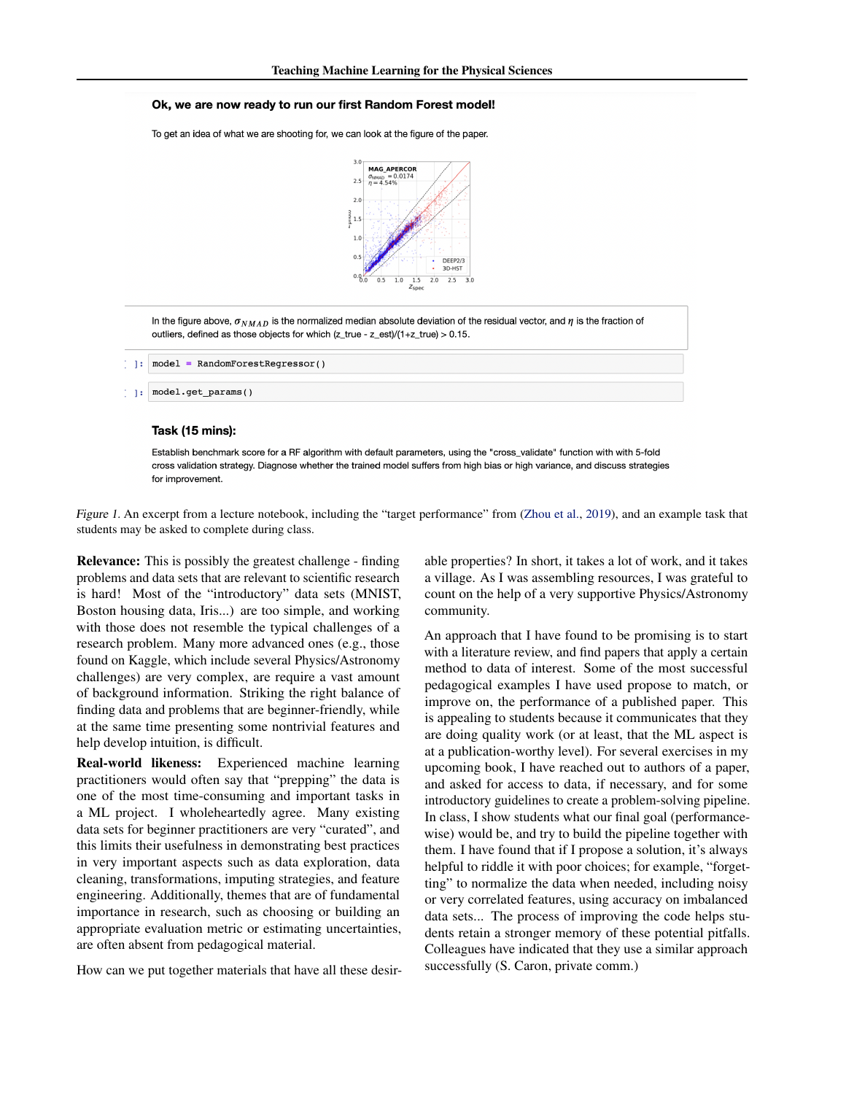#### <span id="page-1-0"></span>Ok, we are now ready to run our first Random Forest model!

To get an idea of what we are shooting for, we can look at the figure of the paper.



In the figure above,  $\sigma_{NMAD}$  is the normalized median absolute deviation of the residual vector, and  $\eta$  is the fraction of outliers, defined as those objects for which (z\_true - z\_est)/(1+z\_true) > 0.15.

#### Task (15 mins):

Establish benchmark score for a RF algorithm with default parameters, using the "cross\_validate" function with with 5-fold cross validation strategy. Diagnose whether the trained model suffers from high bias or high variance, and discuss strategies for improvement.

Figure 1. An excerpt from a lecture notebook, including the "target performance" from [\(Zhou et al.,](#page-4-0) [2019\)](#page-4-0), and an example task that students may be asked to complete during class.

Relevance: This is possibly the greatest challenge - finding problems and data sets that are relevant to scientific research is hard! Most of the "introductory" data sets (MNIST, Boston housing data, Iris...) are too simple, and working with those does not resemble the typical challenges of a research problem. Many more advanced ones (e.g., those found on Kaggle, which include several Physics/Astronomy challenges) are very complex, are require a vast amount of background information. Striking the right balance of finding data and problems that are beginner-friendly, while at the same time presenting some nontrivial features and help develop intuition, is difficult.

Real-world likeness: Experienced machine learning practitioners would often say that "prepping" the data is one of the most time-consuming and important tasks in a ML project. I wholeheartedly agree. Many existing data sets for beginner practitioners are very "curated", and this limits their usefulness in demonstrating best practices in very important aspects such as data exploration, data cleaning, transformations, imputing strategies, and feature engineering. Additionally, themes that are of fundamental importance in research, such as choosing or building an appropriate evaluation metric or estimating uncertainties, are often absent from pedagogical material.

How can we put together materials that have all these desir-

able properties? In short, it takes a lot of work, and it takes a village. As I was assembling resources, I was grateful to count on the help of a very supportive Physics/Astronomy community.

An approach that I have found to be promising is to start with a literature review, and find papers that apply a certain method to data of interest. Some of the most successful pedagogical examples I have used propose to match, or improve on, the performance of a published paper. This is appealing to students because it communicates that they are doing quality work (or at least, that the ML aspect is at a publication-worthy level). For several exercises in my upcoming book, I have reached out to authors of a paper, and asked for access to data, if necessary, and for some introductory guidelines to create a problem-solving pipeline. In class, I show students what our final goal (performancewise) would be, and try to build the pipeline together with them. I have found that if I propose a solution, it's always helpful to riddle it with poor choices; for example, "forgetting" to normalize the data when needed, including noisy or very correlated features, using accuracy on imbalanced data sets... The process of improving the code helps students retain a stronger memory of these potential pitfalls. Colleagues have indicated that they use a similar approach successfully (S. Caron, private comm.)

 $\left[ -1\right]$  $model = RandomForestRequestSorsor()$ 

model.get\_params() 1.1: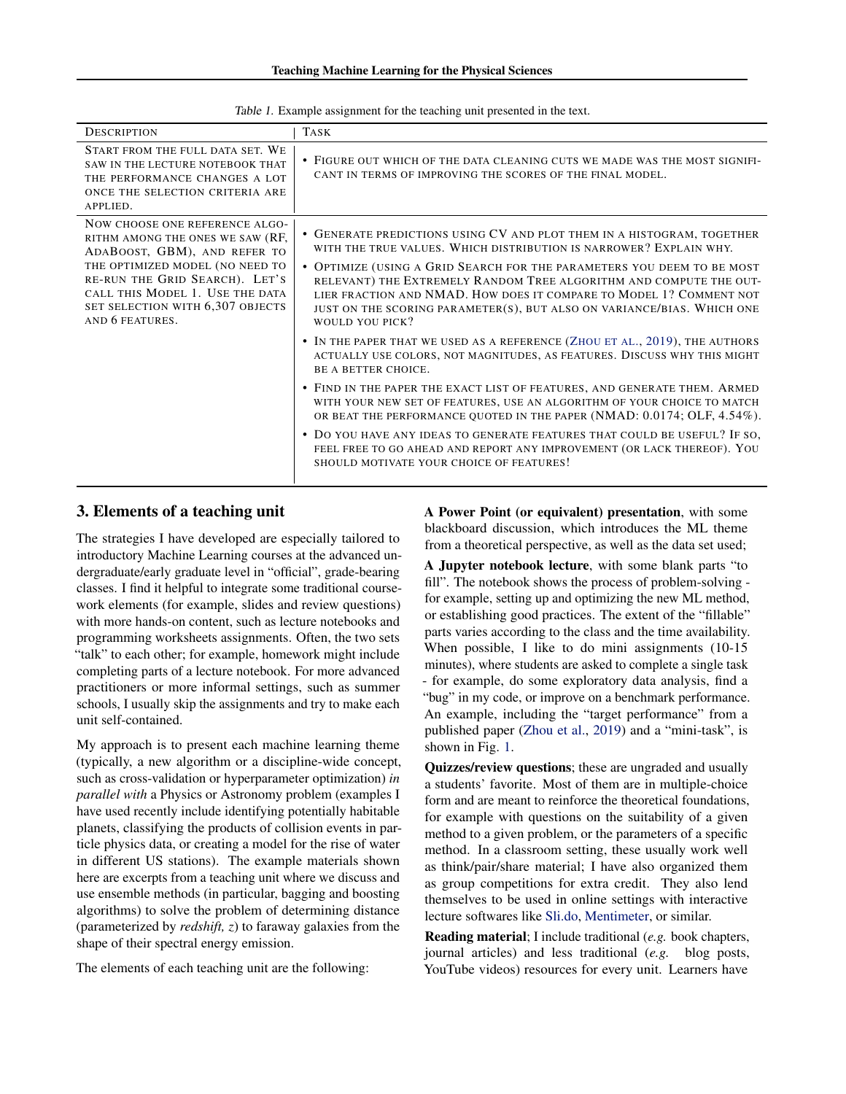<span id="page-2-0"></span>

| <b>DESCRIPTION</b>                                                                                                                                                                                                                                                | <b>TASK</b>                                                                                                                                                                                                                                                                                                      |
|-------------------------------------------------------------------------------------------------------------------------------------------------------------------------------------------------------------------------------------------------------------------|------------------------------------------------------------------------------------------------------------------------------------------------------------------------------------------------------------------------------------------------------------------------------------------------------------------|
| START FROM THE FULL DATA SET. WE<br>SAW IN THE LECTURE NOTEBOOK THAT<br>THE PERFORMANCE CHANGES A LOT<br>ONCE THE SELECTION CRITERIA ARE<br>APPLIED.                                                                                                              | • FIGURE OUT WHICH OF THE DATA CLEANING CUTS WE MADE WAS THE MOST SIGNIFI-<br>CANT IN TERMS OF IMPROVING THE SCORES OF THE FINAL MODEL.                                                                                                                                                                          |
| NOW CHOOSE ONE REFERENCE ALGO-<br>RITHM AMONG THE ONES WE SAW (RF,<br>ADABOOST, GBM), AND REFER TO<br>THE OPTIMIZED MODEL (NO NEED TO<br>RE-RUN THE GRID SEARCH). LET'S<br>CALL THIS MODEL 1. USE THE DATA<br>SET SELECTION WITH 6,307 OBJECTS<br>AND 6 FEATURES. | • GENERATE PREDICTIONS USING CV AND PLOT THEM IN A HISTOGRAM, TOGETHER<br>WITH THE TRUE VALUES. WHICH DISTRIBUTION IS NARROWER? EXPLAIN WHY.                                                                                                                                                                     |
|                                                                                                                                                                                                                                                                   | • OPTIMIZE (USING A GRID SEARCH FOR THE PARAMETERS YOU DEEM TO BE MOST<br>RELEVANT) THE EXTREMELY RANDOM TREE ALGORITHM AND COMPUTE THE OUT-<br>LIER FRACTION AND NMAD. HOW DOES IT COMPARE TO MODEL 1? COMMENT NOT<br>JUST ON THE SCORING PARAMETER(S), BUT ALSO ON VARIANCE/BIAS. WHICH ONE<br>WOULD YOU PICK? |
|                                                                                                                                                                                                                                                                   | • IN THE PAPER THAT WE USED AS A REFERENCE (ZHOU ET AL., 2019), THE AUTHORS<br>ACTUALLY USE COLORS, NOT MAGNITUDES, AS FEATURES. DISCUSS WHY THIS MIGHT<br>BE A BETTER CHOICE.                                                                                                                                   |
|                                                                                                                                                                                                                                                                   | • FIND IN THE PAPER THE EXACT LIST OF FEATURES, AND GENERATE THEM. ARMED<br>WITH YOUR NEW SET OF FEATURES, USE AN ALGORITHM OF YOUR CHOICE TO MATCH<br>OR BEAT THE PERFORMANCE QUOTED IN THE PAPER (NMAD: 0.0174; OLF, 4.54%).                                                                                   |
|                                                                                                                                                                                                                                                                   | • DO YOU HAVE ANY IDEAS TO GENERATE FEATURES THAT COULD BE USEFUL? IF SO,<br>FEEL FREE TO GO AHEAD AND REPORT ANY IMPROVEMENT (OR LACK THEREOF). YOU<br>SHOULD MOTIVATE YOUR CHOICE OF FEATURES!                                                                                                                 |

Table 1. Example assignment for the teaching unit presented in the text.

### 3. Elements of a teaching unit

The strategies I have developed are especially tailored to introductory Machine Learning courses at the advanced undergraduate/early graduate level in "official", grade-bearing classes. I find it helpful to integrate some traditional coursework elements (for example, slides and review questions) with more hands-on content, such as lecture notebooks and programming worksheets assignments. Often, the two sets "talk" to each other; for example, homework might include completing parts of a lecture notebook. For more advanced practitioners or more informal settings, such as summer schools, I usually skip the assignments and try to make each unit self-contained.

My approach is to present each machine learning theme (typically, a new algorithm or a discipline-wide concept, such as cross-validation or hyperparameter optimization) *in parallel with* a Physics or Astronomy problem (examples I have used recently include identifying potentially habitable planets, classifying the products of collision events in particle physics data, or creating a model for the rise of water in different US stations). The example materials shown here are excerpts from a teaching unit where we discuss and use ensemble methods (in particular, bagging and boosting algorithms) to solve the problem of determining distance (parameterized by *redshift, z*) to faraway galaxies from the shape of their spectral energy emission.

The elements of each teaching unit are the following:

A Power Point (or equivalent) presentation, with some blackboard discussion, which introduces the ML theme from a theoretical perspective, as well as the data set used;

A Jupyter notebook lecture, with some blank parts "to fill". The notebook shows the process of problem-solving for example, setting up and optimizing the new ML method, or establishing good practices. The extent of the "fillable" parts varies according to the class and the time availability. When possible, I like to do mini assignments (10-15 minutes), where students are asked to complete a single task - for example, do some exploratory data analysis, find a "bug" in my code, or improve on a benchmark performance. An example, including the "target performance" from a published paper [\(Zhou et al.,](#page-4-0) [2019\)](#page-4-0) and a "mini-task", is shown in Fig. [1.](#page-1-0)

Quizzes/review questions; these are ungraded and usually a students' favorite. Most of them are in multiple-choice form and are meant to reinforce the theoretical foundations, for example with questions on the suitability of a given method to a given problem, or the parameters of a specific method. In a classroom setting, these usually work well as think/pair/share material; I have also organized them as group competitions for extra credit. They also lend themselves to be used in online settings with interactive lecture softwares like [Sli.do,](https://www.sli.do/) [Mentimeter,](https://www.mentimeter.com/) or similar.

Reading material; I include traditional (*e.g.* book chapters, journal articles) and less traditional (*e.g.* blog posts, YouTube videos) resources for every unit. Learners have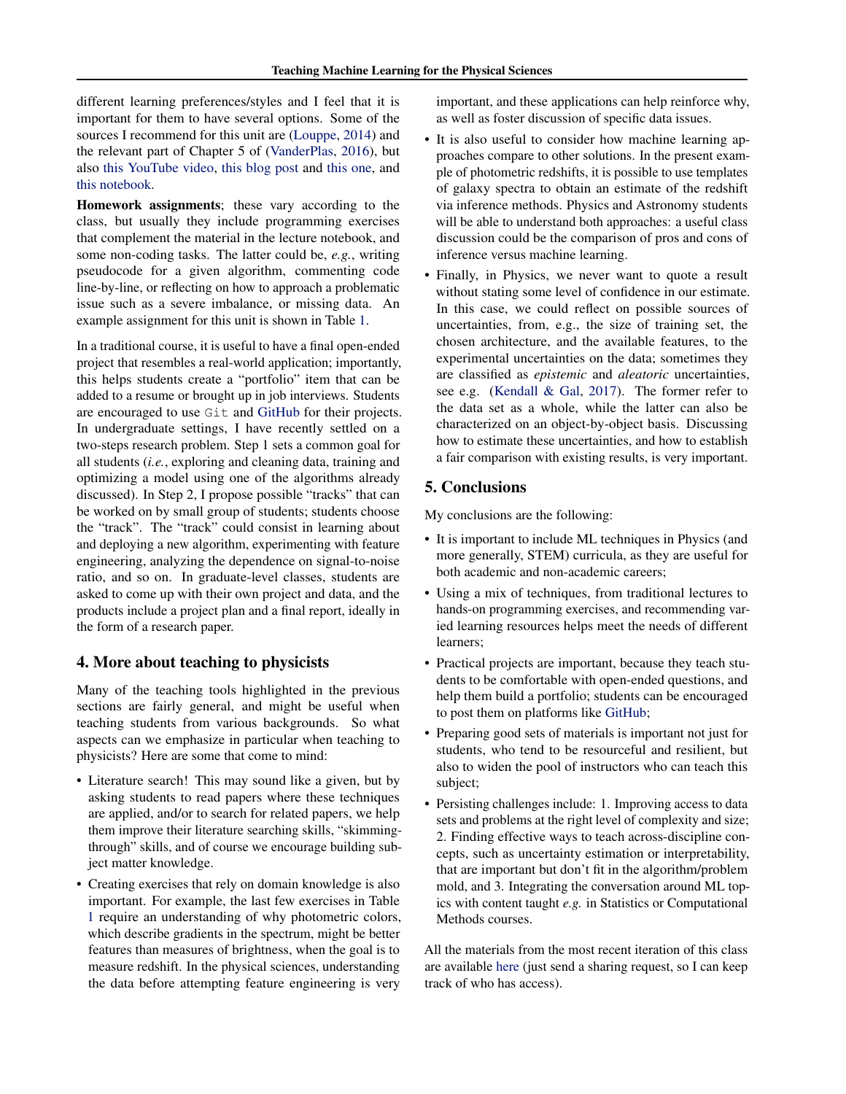different learning preferences/styles and I feel that it is important for them to have several options. Some of the sources I recommend for this unit are [\(Louppe,](#page-4-0) [2014\)](#page-4-0) and the relevant part of Chapter 5 of [\(VanderPlas,](#page-4-0) [2016\)](#page-4-0), but also [this YouTube video,](https://www.youtube.com/watch?v=sRktKszFmSk) [this blog post](https://www.gormanalysis.com/blog/gradient-boosting-explained/) and [this one,](https://blog.mlreview.com/gradient-boosting-from-scratch-1e317ae4587d) and [this notebook.](https://nbviewer.jupyter.org/github/groverpr/Machine-Learning/blob/master/notebooks/01_Gradient_Boosting_Scratch.ipynb)

Homework assignments; these vary according to the class, but usually they include programming exercises that complement the material in the lecture notebook, and some non-coding tasks. The latter could be, *e.g.*, writing pseudocode for a given algorithm, commenting code line-by-line, or reflecting on how to approach a problematic issue such as a severe imbalance, or missing data. An example assignment for this unit is shown in Table [1.](#page-2-0)

In a traditional course, it is useful to have a final open-ended project that resembles a real-world application; importantly, this helps students create a "portfolio" item that can be added to a resume or brought up in job interviews. Students are encouraged to use Git and [GitHub](https://github.com/) for their projects. In undergraduate settings, I have recently settled on a two-steps research problem. Step 1 sets a common goal for all students (*i.e.*, exploring and cleaning data, training and optimizing a model using one of the algorithms already discussed). In Step 2, I propose possible "tracks" that can be worked on by small group of students; students choose the "track". The "track" could consist in learning about and deploying a new algorithm, experimenting with feature engineering, analyzing the dependence on signal-to-noise ratio, and so on. In graduate-level classes, students are asked to come up with their own project and data, and the products include a project plan and a final report, ideally in the form of a research paper.

### 4. More about teaching to physicists

Many of the teaching tools highlighted in the previous sections are fairly general, and might be useful when teaching students from various backgrounds. So what aspects can we emphasize in particular when teaching to physicists? Here are some that come to mind:

- Literature search! This may sound like a given, but by asking students to read papers where these techniques are applied, and/or to search for related papers, we help them improve their literature searching skills, "skimmingthrough" skills, and of course we encourage building subject matter knowledge.
- Creating exercises that rely on domain knowledge is also important. For example, the last few exercises in Table [1](#page-2-0) require an understanding of why photometric colors, which describe gradients in the spectrum, might be better features than measures of brightness, when the goal is to measure redshift. In the physical sciences, understanding the data before attempting feature engineering is very

important, and these applications can help reinforce why, as well as foster discussion of specific data issues.

- It is also useful to consider how machine learning approaches compare to other solutions. In the present example of photometric redshifts, it is possible to use templates of galaxy spectra to obtain an estimate of the redshift via inference methods. Physics and Astronomy students will be able to understand both approaches: a useful class discussion could be the comparison of pros and cons of inference versus machine learning.
- Finally, in Physics, we never want to quote a result without stating some level of confidence in our estimate. In this case, we could reflect on possible sources of uncertainties, from, e.g., the size of training set, the chosen architecture, and the available features, to the experimental uncertainties on the data; sometimes they are classified as *epistemic* and *aleatoric* uncertainties, see e.g. [\(Kendall & Gal,](#page-4-0) [2017\)](#page-4-0). The former refer to the data set as a whole, while the latter can also be characterized on an object-by-object basis. Discussing how to estimate these uncertainties, and how to establish a fair comparison with existing results, is very important.

# 5. Conclusions

My conclusions are the following:

- It is important to include ML techniques in Physics (and more generally, STEM) curricula, as they are useful for both academic and non-academic careers;
- Using a mix of techniques, from traditional lectures to hands-on programming exercises, and recommending varied learning resources helps meet the needs of different learners;
- Practical projects are important, because they teach students to be comfortable with open-ended questions, and help them build a portfolio; students can be encouraged to post them on platforms like [GitHub;](https://github.com/)
- Preparing good sets of materials is important not just for students, who tend to be resourceful and resilient, but also to widen the pool of instructors who can teach this subject;
- Persisting challenges include: 1. Improving access to data sets and problems at the right level of complexity and size; 2. Finding effective ways to teach across-discipline concepts, such as uncertainty estimation or interpretability, that are important but don't fit in the algorithm/problem mold, and 3. Integrating the conversation around ML topics with content taught *e.g.* in Statistics or Computational Methods courses.

All the materials from the most recent iteration of this class are available [here](https://drive.google.com/drive/u/2/folders/118pSj9ZaSElPaSKu9k-XKRfRTvN41yoz) (just send a sharing request, so I can keep track of who has access).